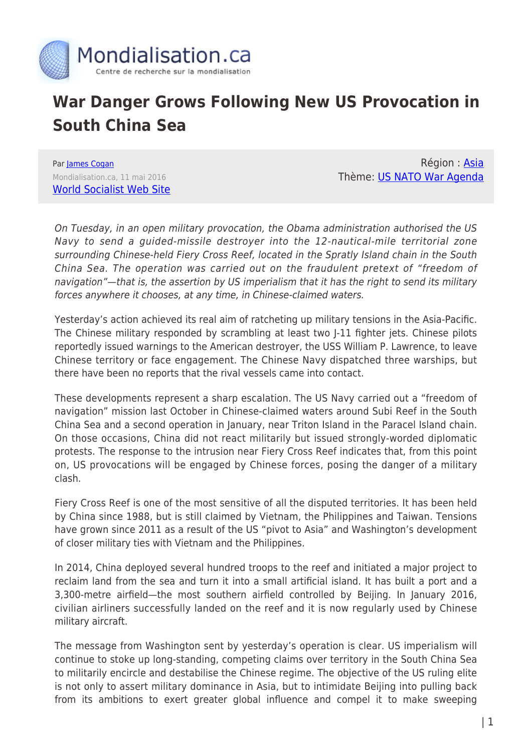

## **War Danger Grows Following New US Provocation in South China Sea**

Par [James Cogan](https://www.mondialisation.ca/author/james-cogan) Mondialisation.ca, 11 mai 2016 [World Socialist Web Site](http://www.wsws.org/en/articles/2016/05/11/chin-m11.html)

Région : [Asia](https://www.mondialisation.ca/region/asia) Thème: [US NATO War Agenda](https://www.mondialisation.ca/theme/us-nato-war-agenda)

On Tuesday, in an open military provocation, the Obama administration authorised the US Navy to send a guided-missile destroyer into the 12-nautical-mile territorial zone surrounding Chinese-held Fiery Cross Reef, located in the Spratly Island chain in the South China Sea. The operation was carried out on the fraudulent pretext of "freedom of navigation"—that is, the assertion by US imperialism that it has the right to send its military forces anywhere it chooses, at any time, in Chinese-claimed waters.

Yesterday's action achieved its real aim of ratcheting up military tensions in the Asia-Pacific. The Chinese military responded by scrambling at least two J-11 fighter jets. Chinese pilots reportedly issued warnings to the American destroyer, the USS William P. Lawrence, to leave Chinese territory or face engagement. The Chinese Navy dispatched three warships, but there have been no reports that the rival vessels came into contact.

These developments represent a sharp escalation. The US Navy carried out a "freedom of navigation" mission last October in Chinese-claimed waters around Subi Reef in the South China Sea and a second operation in January, near Triton Island in the Paracel Island chain. On those occasions, China did not react militarily but issued strongly-worded diplomatic protests. The response to the intrusion near Fiery Cross Reef indicates that, from this point on, US provocations will be engaged by Chinese forces, posing the danger of a military clash.

Fiery Cross Reef is one of the most sensitive of all the disputed territories. It has been held by China since 1988, but is still claimed by Vietnam, the Philippines and Taiwan. Tensions have grown since 2011 as a result of the US "pivot to Asia" and Washington's development of closer military ties with Vietnam and the Philippines.

In 2014, China deployed several hundred troops to the reef and initiated a major project to reclaim land from the sea and turn it into a small artificial island. It has built a port and a 3,300-metre airfield—the most southern airfield controlled by Beijing. In January 2016, civilian airliners successfully landed on the reef and it is now regularly used by Chinese military aircraft.

The message from Washington sent by yesterday's operation is clear. US imperialism will continue to stoke up long-standing, competing claims over territory in the South China Sea to militarily encircle and destabilise the Chinese regime. The objective of the US ruling elite is not only to assert military dominance in Asia, but to intimidate Beijing into pulling back from its ambitions to exert greater global influence and compel it to make sweeping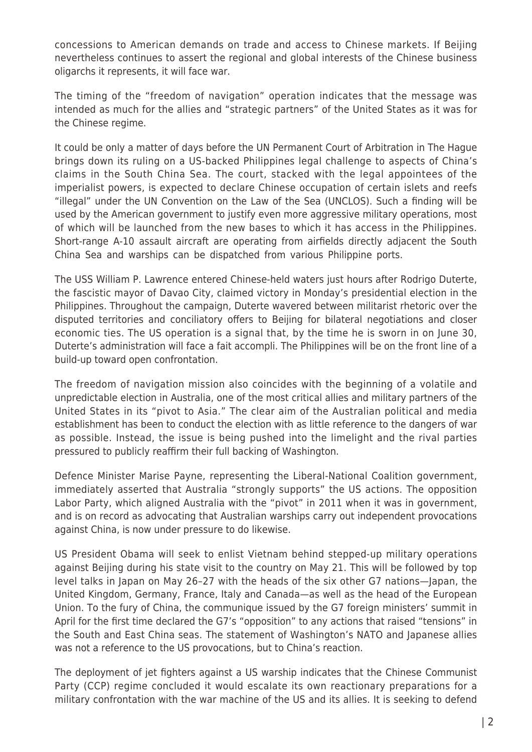concessions to American demands on trade and access to Chinese markets. If Beijing nevertheless continues to assert the regional and global interests of the Chinese business oligarchs it represents, it will face war.

The timing of the "freedom of navigation" operation indicates that the message was intended as much for the allies and "strategic partners" of the United States as it was for the Chinese regime.

It could be only a matter of days before the UN Permanent Court of Arbitration in The Hague brings down its ruling on a US-backed Philippines legal challenge to aspects of China's claims in the South China Sea. The court, stacked with the legal appointees of the imperialist powers, is expected to declare Chinese occupation of certain islets and reefs "illegal" under the UN Convention on the Law of the Sea (UNCLOS). Such a finding will be used by the American government to justify even more aggressive military operations, most of which will be launched from the new bases to which it has access in the Philippines. Short-range A-10 assault aircraft are operating from airfields directly adjacent the South China Sea and warships can be dispatched from various Philippine ports.

The USS William P. Lawrence entered Chinese-held waters just hours after Rodrigo Duterte, the fascistic mayor of Davao City, claimed victory in Monday's presidential election in the Philippines. Throughout the campaign, Duterte wavered between militarist rhetoric over the disputed territories and conciliatory offers to Beijing for bilateral negotiations and closer economic ties. The US operation is a signal that, by the time he is sworn in on June 30, Duterte's administration will face a fait accompli. The Philippines will be on the front line of a build-up toward open confrontation.

The freedom of navigation mission also coincides with the beginning of a volatile and unpredictable election in Australia, one of the most critical allies and military partners of the United States in its "pivot to Asia." The clear aim of the Australian political and media establishment has been to conduct the election with as little reference to the dangers of war as possible. Instead, the issue is being pushed into the limelight and the rival parties pressured to publicly reaffirm their full backing of Washington.

Defence Minister Marise Payne, representing the Liberal-National Coalition government, immediately asserted that Australia "strongly supports" the US actions. The opposition Labor Party, which aligned Australia with the "pivot" in 2011 when it was in government, and is on record as advocating that Australian warships carry out independent provocations against China, is now under pressure to do likewise.

US President Obama will seek to enlist Vietnam behind stepped-up military operations against Beijing during his state visit to the country on May 21. This will be followed by top level talks in Japan on May 26–27 with the heads of the six other G7 nations—Japan, the United Kingdom, Germany, France, Italy and Canada—as well as the head of the European Union. To the fury of China, the communique issued by the G7 foreign ministers' summit in April for the first time declared the G7's "opposition" to any actions that raised "tensions" in the South and East China seas. The statement of Washington's NATO and Japanese allies was not a reference to the US provocations, but to China's reaction.

The deployment of jet fighters against a US warship indicates that the Chinese Communist Party (CCP) regime concluded it would escalate its own reactionary preparations for a military confrontation with the war machine of the US and its allies. It is seeking to defend